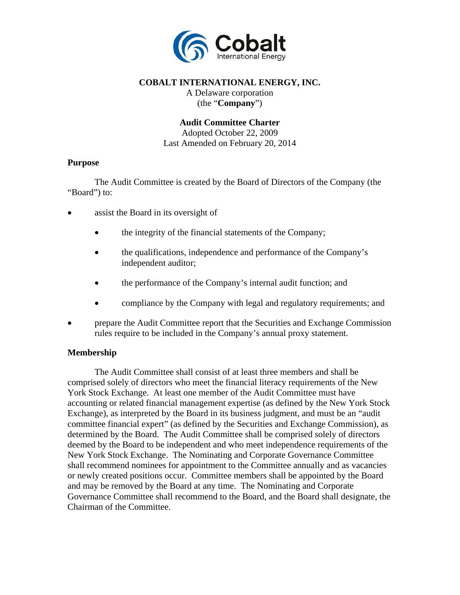

# **COBALT INTERNATIONAL ENERGY, INC.**

A Delaware corporation (the "**Company**")

#### **Audit Committee Charter**

Adopted October 22, 2009 Last Amended on February 20, 2014

#### **Purpose**

The Audit Committee is created by the Board of Directors of the Company (the "Board") to:

- assist the Board in its oversight of
	- the integrity of the financial statements of the Company;
	- the qualifications, independence and performance of the Company's independent auditor;
	- the performance of the Company's internal audit function; and
	- compliance by the Company with legal and regulatory requirements; and
- prepare the Audit Committee report that the Securities and Exchange Commission rules require to be included in the Company's annual proxy statement.

## **Membership**

The Audit Committee shall consist of at least three members and shall be comprised solely of directors who meet the financial literacy requirements of the New York Stock Exchange. At least one member of the Audit Committee must have accounting or related financial management expertise (as defined by the New York Stock Exchange), as interpreted by the Board in its business judgment, and must be an "audit committee financial expert" (as defined by the Securities and Exchange Commission), as determined by the Board. The Audit Committee shall be comprised solely of directors deemed by the Board to be independent and who meet independence requirements of the New York Stock Exchange. The Nominating and Corporate Governance Committee shall recommend nominees for appointment to the Committee annually and as vacancies or newly created positions occur. Committee members shall be appointed by the Board and may be removed by the Board at any time. The Nominating and Corporate Governance Committee shall recommend to the Board, and the Board shall designate, the Chairman of the Committee.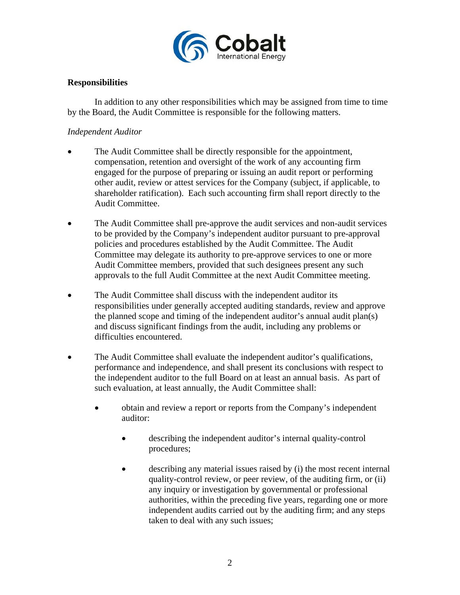

# **Responsibilities**

In addition to any other responsibilities which may be assigned from time to time by the Board, the Audit Committee is responsible for the following matters.

#### *Independent Auditor*

- The Audit Committee shall be directly responsible for the appointment, compensation, retention and oversight of the work of any accounting firm engaged for the purpose of preparing or issuing an audit report or performing other audit, review or attest services for the Company (subject, if applicable, to shareholder ratification). Each such accounting firm shall report directly to the Audit Committee.
- The Audit Committee shall pre-approve the audit services and non-audit services to be provided by the Company's independent auditor pursuant to pre-approval policies and procedures established by the Audit Committee. The Audit Committee may delegate its authority to pre-approve services to one or more Audit Committee members, provided that such designees present any such approvals to the full Audit Committee at the next Audit Committee meeting.
- The Audit Committee shall discuss with the independent auditor its responsibilities under generally accepted auditing standards, review and approve the planned scope and timing of the independent auditor's annual audit plan(s) and discuss significant findings from the audit, including any problems or difficulties encountered.
- The Audit Committee shall evaluate the independent auditor's qualifications, performance and independence, and shall present its conclusions with respect to the independent auditor to the full Board on at least an annual basis. As part of such evaluation, at least annually, the Audit Committee shall:
	- obtain and review a report or reports from the Company's independent auditor:
		- describing the independent auditor's internal quality-control procedures;
		- describing any material issues raised by (i) the most recent internal quality-control review, or peer review, of the auditing firm, or (ii) any inquiry or investigation by governmental or professional authorities, within the preceding five years, regarding one or more independent audits carried out by the auditing firm; and any steps taken to deal with any such issues;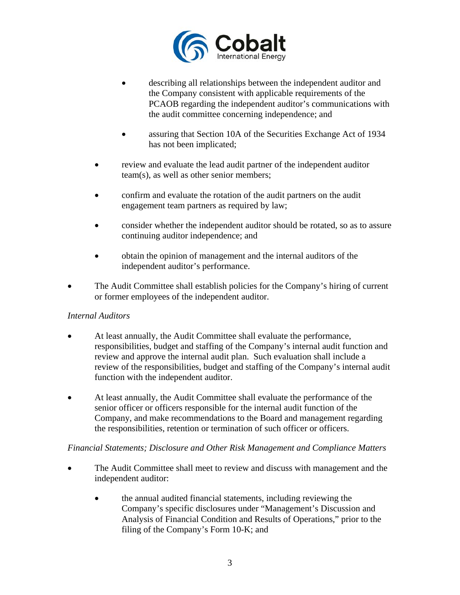

- describing all relationships between the independent auditor and the Company consistent with applicable requirements of the PCAOB regarding the independent auditor's communications with the audit committee concerning independence; and
- assuring that Section 10A of the Securities Exchange Act of 1934 has not been implicated;
- review and evaluate the lead audit partner of the independent auditor team(s), as well as other senior members;
- confirm and evaluate the rotation of the audit partners on the audit engagement team partners as required by law;
- consider whether the independent auditor should be rotated, so as to assure continuing auditor independence; and
- obtain the opinion of management and the internal auditors of the independent auditor's performance.
- The Audit Committee shall establish policies for the Company's hiring of current or former employees of the independent auditor.

## *Internal Auditors*

- At least annually, the Audit Committee shall evaluate the performance, responsibilities, budget and staffing of the Company's internal audit function and review and approve the internal audit plan. Such evaluation shall include a review of the responsibilities, budget and staffing of the Company's internal audit function with the independent auditor.
- At least annually, the Audit Committee shall evaluate the performance of the senior officer or officers responsible for the internal audit function of the Company, and make recommendations to the Board and management regarding the responsibilities, retention or termination of such officer or officers.

## *Financial Statements; Disclosure and Other Risk Management and Compliance Matters*

- The Audit Committee shall meet to review and discuss with management and the independent auditor:
	- the annual audited financial statements, including reviewing the Company's specific disclosures under "Management's Discussion and Analysis of Financial Condition and Results of Operations," prior to the filing of the Company's Form 10-K; and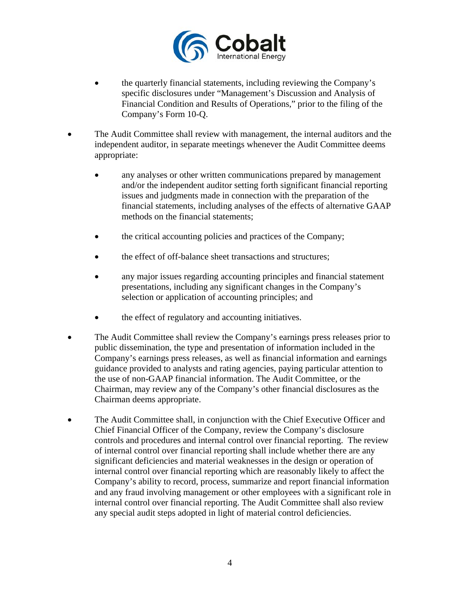

- the quarterly financial statements, including reviewing the Company's specific disclosures under "Management's Discussion and Analysis of Financial Condition and Results of Operations," prior to the filing of the Company's Form 10-Q.
- The Audit Committee shall review with management, the internal auditors and the independent auditor, in separate meetings whenever the Audit Committee deems appropriate:
	- any analyses or other written communications prepared by management and/or the independent auditor setting forth significant financial reporting issues and judgments made in connection with the preparation of the financial statements, including analyses of the effects of alternative GAAP methods on the financial statements;
	- the critical accounting policies and practices of the Company;
	- the effect of off-balance sheet transactions and structures;
	- any major issues regarding accounting principles and financial statement presentations, including any significant changes in the Company's selection or application of accounting principles; and
	- the effect of regulatory and accounting initiatives.
- The Audit Committee shall review the Company's earnings press releases prior to public dissemination, the type and presentation of information included in the Company's earnings press releases, as well as financial information and earnings guidance provided to analysts and rating agencies, paying particular attention to the use of non-GAAP financial information. The Audit Committee, or the Chairman, may review any of the Company's other financial disclosures as the Chairman deems appropriate.
- The Audit Committee shall, in conjunction with the Chief Executive Officer and Chief Financial Officer of the Company, review the Company's disclosure controls and procedures and internal control over financial reporting. The review of internal control over financial reporting shall include whether there are any significant deficiencies and material weaknesses in the design or operation of internal control over financial reporting which are reasonably likely to affect the Company's ability to record, process, summarize and report financial information and any fraud involving management or other employees with a significant role in internal control over financial reporting. The Audit Committee shall also review any special audit steps adopted in light of material control deficiencies.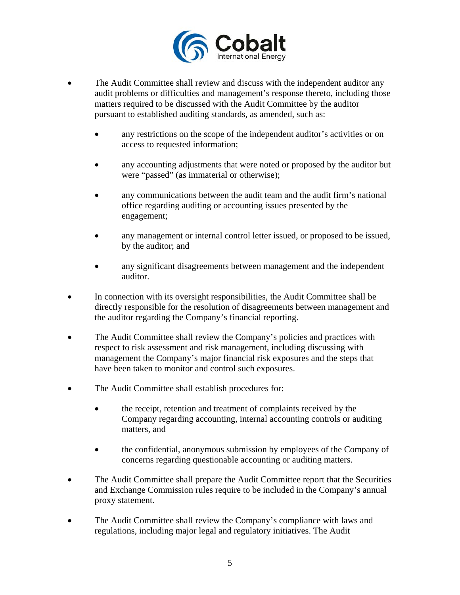

- The Audit Committee shall review and discuss with the independent auditor any audit problems or difficulties and management's response thereto, including those matters required to be discussed with the Audit Committee by the auditor pursuant to established auditing standards, as amended, such as:
	- any restrictions on the scope of the independent auditor's activities or on access to requested information;
	- any accounting adjustments that were noted or proposed by the auditor but were "passed" (as immaterial or otherwise);
	- any communications between the audit team and the audit firm's national office regarding auditing or accounting issues presented by the engagement;
	- any management or internal control letter issued, or proposed to be issued, by the auditor; and
	- any significant disagreements between management and the independent auditor.
- In connection with its oversight responsibilities, the Audit Committee shall be directly responsible for the resolution of disagreements between management and the auditor regarding the Company's financial reporting.
- The Audit Committee shall review the Company's policies and practices with respect to risk assessment and risk management, including discussing with management the Company's major financial risk exposures and the steps that have been taken to monitor and control such exposures.
- The Audit Committee shall establish procedures for:
	- the receipt, retention and treatment of complaints received by the Company regarding accounting, internal accounting controls or auditing matters, and
	- the confidential, anonymous submission by employees of the Company of concerns regarding questionable accounting or auditing matters.
- The Audit Committee shall prepare the Audit Committee report that the Securities and Exchange Commission rules require to be included in the Company's annual proxy statement.
- The Audit Committee shall review the Company's compliance with laws and regulations, including major legal and regulatory initiatives. The Audit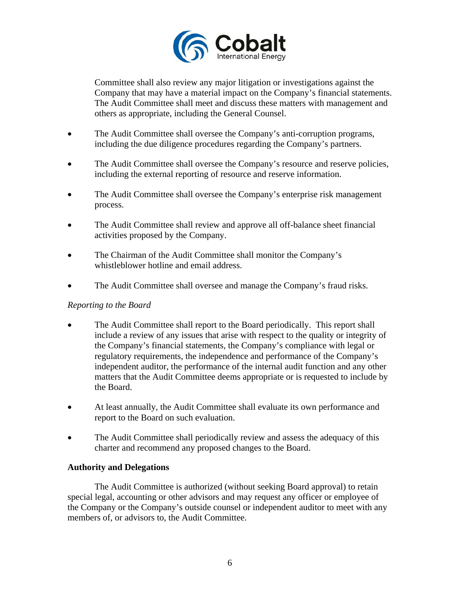

Committee shall also review any major litigation or investigations against the Company that may have a material impact on the Company's financial statements. The Audit Committee shall meet and discuss these matters with management and others as appropriate, including the General Counsel.

- The Audit Committee shall oversee the Company's anti-corruption programs, including the due diligence procedures regarding the Company's partners.
- The Audit Committee shall oversee the Company's resource and reserve policies, including the external reporting of resource and reserve information.
- The Audit Committee shall oversee the Company's enterprise risk management process.
- The Audit Committee shall review and approve all off-balance sheet financial activities proposed by the Company.
- The Chairman of the Audit Committee shall monitor the Company's whistleblower hotline and email address.
- The Audit Committee shall oversee and manage the Company's fraud risks.

## *Reporting to the Board*

- The Audit Committee shall report to the Board periodically. This report shall include a review of any issues that arise with respect to the quality or integrity of the Company's financial statements, the Company's compliance with legal or regulatory requirements, the independence and performance of the Company's independent auditor, the performance of the internal audit function and any other matters that the Audit Committee deems appropriate or is requested to include by the Board.
- At least annually, the Audit Committee shall evaluate its own performance and report to the Board on such evaluation.
- The Audit Committee shall periodically review and assess the adequacy of this charter and recommend any proposed changes to the Board.

## **Authority and Delegations**

The Audit Committee is authorized (without seeking Board approval) to retain special legal, accounting or other advisors and may request any officer or employee of the Company or the Company's outside counsel or independent auditor to meet with any members of, or advisors to, the Audit Committee.